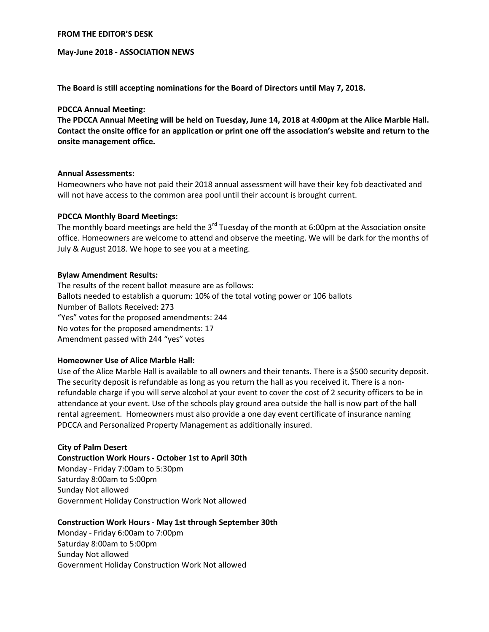#### **FROM THE EDITOR'S DESK**

### **May-June 2018 - ASSOCIATION NEWS**

**The Board is still accepting nominations for the Board of Directors until May 7, 2018.**

## **PDCCA Annual Meeting:**

**The PDCCA Annual Meeting will be held on Tuesday, June 14, 2018 at 4:00pm at the Alice Marble Hall. Contact the onsite office for an application or print one off the association's website and return to the onsite management office.**

#### **Annual Assessments:**

Homeowners who have not paid their 2018 annual assessment will have their key fob deactivated and will not have access to the common area pool until their account is brought current.

#### **PDCCA Monthly Board Meetings:**

The monthly board meetings are held the  $3<sup>rd</sup>$  Tuesday of the month at 6:00pm at the Association onsite office. Homeowners are welcome to attend and observe the meeting. We will be dark for the months of July & August 2018. We hope to see you at a meeting.

#### **Bylaw Amendment Results:**

The results of the recent ballot measure are as follows: Ballots needed to establish a quorum: 10% of the total voting power or 106 ballots Number of Ballots Received: 273 "Yes" votes for the proposed amendments: 244 No votes for the proposed amendments: 17 Amendment passed with 244 "yes" votes

## **Homeowner Use of Alice Marble Hall:**

Use of the Alice Marble Hall is available to all owners and their tenants. There is a \$500 security deposit. The security deposit is refundable as long as you return the hall as you received it. There is a nonrefundable charge if you will serve alcohol at your event to cover the cost of 2 security officers to be in attendance at your event. Use of the schools play ground area outside the hall is now part of the hall rental agreement. Homeowners must also provide a one day event certificate of insurance naming PDCCA and Personalized Property Management as additionally insured.

## **City of Palm Desert**

**Construction Work Hours - October 1st to April 30th**

Monday - Friday 7:00am to 5:30pm Saturday 8:00am to 5:00pm Sunday Not allowed Government Holiday Construction Work Not allowed

## **Construction Work Hours - May 1st through September 30th**

Monday - Friday 6:00am to 7:00pm Saturday 8:00am to 5:00pm Sunday Not allowed Government Holiday Construction Work Not allowed